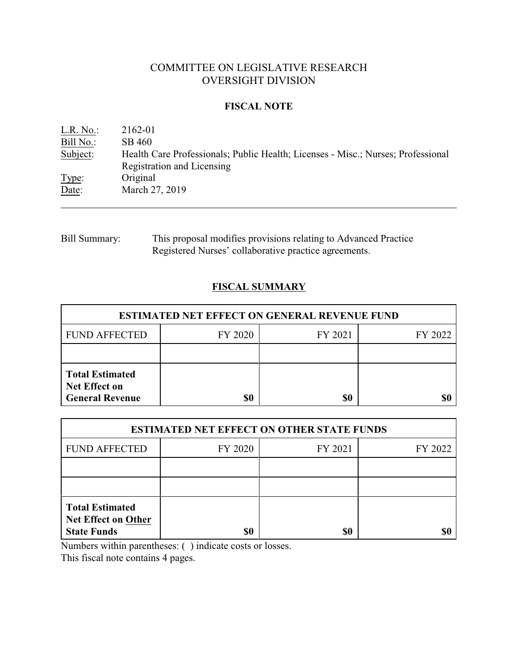# COMMITTEE ON LEGISLATIVE RESEARCH OVERSIGHT DIVISION

#### **FISCAL NOTE**

| L.R. No.  | 2162-01                                                                          |
|-----------|----------------------------------------------------------------------------------|
| Bill No.: | SB 460                                                                           |
| Subject:  | Health Care Professionals; Public Health; Licenses - Misc.; Nurses; Professional |
|           | Registration and Licensing                                                       |
| Type:     | Original                                                                         |
| Date:     | March 27, 2019                                                                   |

# Bill Summary: This proposal modifies provisions relating to Advanced Practice Registered Nurses' collaborative practice agreements.

# **FISCAL SUMMARY**

| <b>ESTIMATED NET EFFECT ON GENERAL REVENUE FUND</b>                      |         |         |         |  |
|--------------------------------------------------------------------------|---------|---------|---------|--|
| <b>FUND AFFECTED</b>                                                     | FY 2020 | FY 2021 | FY 2022 |  |
|                                                                          |         |         |         |  |
| <b>Total Estimated</b><br><b>Net Effect on</b><br><b>General Revenue</b> | \$0     | \$0     |         |  |

| <b>ESTIMATED NET EFFECT ON OTHER STATE FUNDS</b>                           |         |         |         |  |
|----------------------------------------------------------------------------|---------|---------|---------|--|
| <b>FUND AFFECTED</b>                                                       | FY 2020 | FY 2021 | FY 2022 |  |
|                                                                            |         |         |         |  |
|                                                                            |         |         |         |  |
| <b>Total Estimated</b><br><b>Net Effect on Other</b><br><b>State Funds</b> | \$0     | \$0     |         |  |

Numbers within parentheses: ( ) indicate costs or losses.

This fiscal note contains 4 pages.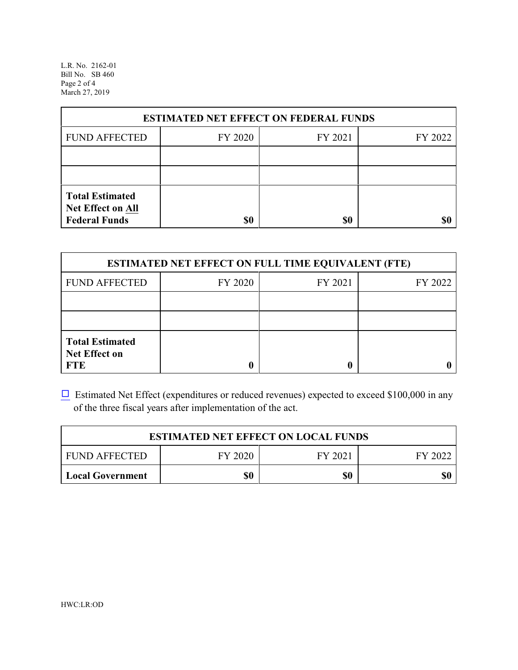L.R. No. 2162-01 Bill No. SB 460 Page 2 of 4 March 27, 2019

| <b>ESTIMATED NET EFFECT ON FEDERAL FUNDS</b>                        |         |         |         |  |
|---------------------------------------------------------------------|---------|---------|---------|--|
| <b>FUND AFFECTED</b>                                                | FY 2020 | FY 2021 | FY 2022 |  |
|                                                                     |         |         |         |  |
|                                                                     |         |         |         |  |
| <b>Total Estimated</b><br>Net Effect on All<br><b>Federal Funds</b> | \$0     | \$0     |         |  |

| <b>ESTIMATED NET EFFECT ON FULL TIME EQUIVALENT (FTE)</b>    |         |         |         |  |
|--------------------------------------------------------------|---------|---------|---------|--|
| <b>FUND AFFECTED</b>                                         | FY 2020 | FY 2021 | FY 2022 |  |
|                                                              |         |         |         |  |
|                                                              |         |         |         |  |
| <b>Total Estimated</b><br><b>Net Effect on</b><br><b>FTE</b> |         |         |         |  |

 $\Box$  Estimated Net Effect (expenditures or reduced revenues) expected to exceed \$100,000 in any of the three fiscal years after implementation of the act.

| <b>ESTIMATED NET EFFECT ON LOCAL FUNDS</b> |         |         |     |  |
|--------------------------------------------|---------|---------|-----|--|
| <b>FUND AFFECTED</b>                       | FY 2021 | FY 2022 |     |  |
| <b>Local Government</b>                    | \$0     | \$0     | \$0 |  |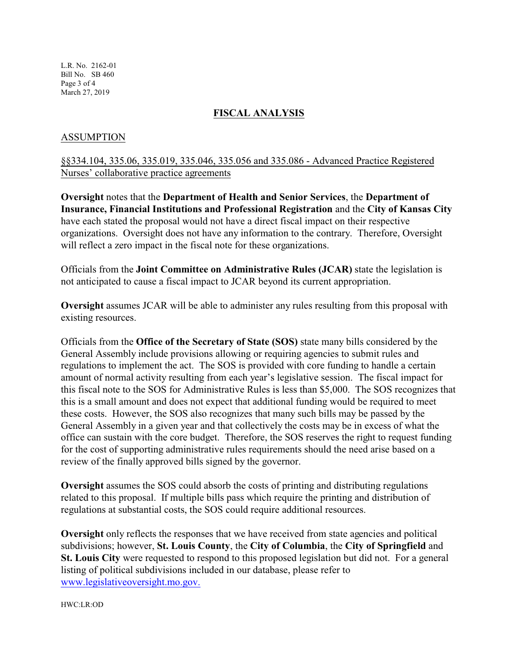L.R. No. 2162-01 Bill No. SB 460 Page 3 of 4 March 27, 2019

#### **FISCAL ANALYSIS**

### ASSUMPTION

## §§334.104, 335.06, 335.019, 335.046, 335.056 and 335.086 - Advanced Practice Registered Nurses' collaborative practice agreements

**Oversight** notes that the **Department of Health and Senior Services**, the **Department of Insurance, Financial Institutions and Professional Registration** and the **City of Kansas City** have each stated the proposal would not have a direct fiscal impact on their respective organizations. Oversight does not have any information to the contrary. Therefore, Oversight will reflect a zero impact in the fiscal note for these organizations.

Officials from the **Joint Committee on Administrative Rules (JCAR)** state the legislation is not anticipated to cause a fiscal impact to JCAR beyond its current appropriation.

**Oversight** assumes JCAR will be able to administer any rules resulting from this proposal with existing resources.

Officials from the **Office of the Secretary of State (SOS)** state many bills considered by the General Assembly include provisions allowing or requiring agencies to submit rules and regulations to implement the act. The SOS is provided with core funding to handle a certain amount of normal activity resulting from each year's legislative session. The fiscal impact for this fiscal note to the SOS for Administrative Rules is less than \$5,000. The SOS recognizes that this is a small amount and does not expect that additional funding would be required to meet these costs. However, the SOS also recognizes that many such bills may be passed by the General Assembly in a given year and that collectively the costs may be in excess of what the office can sustain with the core budget. Therefore, the SOS reserves the right to request funding for the cost of supporting administrative rules requirements should the need arise based on a review of the finally approved bills signed by the governor.

**Oversight** assumes the SOS could absorb the costs of printing and distributing regulations related to this proposal. If multiple bills pass which require the printing and distribution of regulations at substantial costs, the SOS could require additional resources.

**Oversight** only reflects the responses that we have received from state agencies and political subdivisions; however, **St. Louis County**, the **City of Columbia**, the **City of Springfield** and **St. Louis City** were requested to respond to this proposed legislation but did not. For a general listing of political subdivisions included in our database, please refer to [www.legislativeoversight.mo.gov.](http://www.legislativeoversight.mo.gov.)

HWC:LR:OD